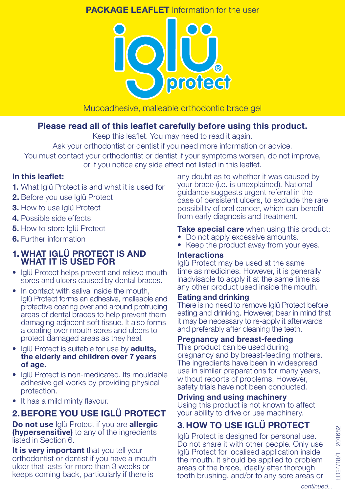## **PACKAGE LEAFLET** Information for the user



### Mucoadhesive, malleable orthodontic brace gel

## Please read all of this leaflet carefully before using this product.

Keep this leaflet. You may need to read it again.

Ask your orthodontist or dentist if you need more information or advice.

You must contact your orthodontist or dentist if your symptoms worsen, do not improve, or if you notice any side effect not listed in this leaflet.

## In this leaflet:

- 1. What Iglü Protect is and what it is used for
- 2. Before you use Iglü Protect
- **3.** How to use Iglü Protect
- 4. Possible side effects
- **5.** How to store Iglü Protect
- **6.** Further information

### 1. WHAT IGLÜ PROTECT IS AND WHAT IT IS USED FOR

- Iglü Protect helps prevent and relieve mouth sores and ulcers caused by dental braces.
- In contact with saliva inside the mouth, Iglü Protect forms an adhesive, malleable and protective coating over and around protruding areas of dental braces to help prevent them damaging adjacent soft tissue. It also forms a coating over mouth sores and ulcers to protect damaged areas as they heal.
- Iglü Protect is suitable for use by **adults**, the elderly and children over 7 years of age.
- Iglü Protect is non-medicated. Its mouldable adhesive gel works by providing physical protection.
- It has a mild minty flavour.

# 2.BEFORE YOU USE IGLÜ PROTECT

Do not use Iglü Protect if you are allergic **(hypersensitive)** to any of the ingredients listed in Section 6.

It is very important that you tell your orthodontist or dentist if you have a mouth ulcer that lasts for more than 3 weeks or keeps coming back, particularly if there is

any doubt as to whether it was caused by your brace (i.e. is unexplained). National guidance suggests urgent referral in the case of persistent ulcers, to exclude the rare possibility of oral cancer, which can benefit from early diagnosis and treatment.

### **Take special care** when using this product:

- Do not apply excessive amounts.
- Keep the product away from your eyes.

## Interactions

Iglü Protect may be used at the same time as medicines. However, it is generally inadvisable to apply it at the same time as any other product used inside the mouth.

### Eating and drinking

There is no need to remove Iglü Protect before eating and drinking. However, bear in mind that it may be necessary to re-apply it afterwards and preferably after cleaning the teeth.

## Pregnancy and breast-feeding

This product can be used during pregnancy and by breast-feeding mothers. The ingredients have been in widespread use in similar preparations for many years, without reports of problems. However, safety trials have not been conducted.

## Driving and using machinery

Using this product is not known to affect your ability to drive or use machinery.

# 3.HOW TO USE IGLÜ PROTECT

Iglü Protect is designed for personal use. Do not share it with other people. Only use Iglü Protect for localised application inside the mouth. It should be applied to problem areas of the brace, ideally after thorough tooth brushing, and/or to any sore areas or